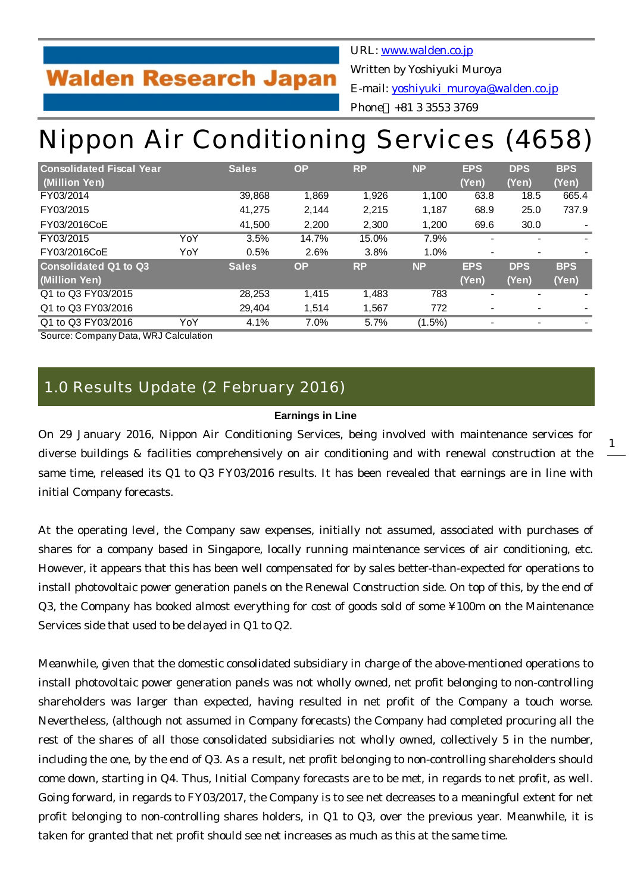# **Walden Research Japan**

URL: [www.walden.co.jp](http://www.walden.co.jp/)

Written by Yoshiyuki Muroya

E-mail: [yoshiyuki\\_muroya@walden.co.jp](mailto:yoshiyuki_muroya@walden.co.jp)

Phone +81 3 3553 3769

# Nippon Air Conditioning Services (4658)

| <b>Consolidated Fiscal Year</b> |     | <b>Sales</b> | <b>OP</b> | <b>RP</b> | <b>NP</b> | <b>EPS</b> | <b>DPS</b>               | <b>BPS</b> |
|---------------------------------|-----|--------------|-----------|-----------|-----------|------------|--------------------------|------------|
| (Million Yen)                   |     |              |           |           |           | (Yen)      | (Yen)                    | (Yen)      |
| FY03/2014                       |     | 39,868       | 1,869     | 1,926     | 1,100     | 63.8       | 18.5                     | 665.4      |
| FY03/2015                       |     | 41,275       | 2,144     | 2,215     | 1,187     | 68.9       | 25.0                     | 737.9      |
| FY03/2016CoE                    |     | 41,500       | 2,200     | 2,300     | 1,200     | 69.6       | 30.0                     |            |
| FY03/2015                       | YoY | 3.5%         | 14.7%     | 15.0%     | 7.9%      |            |                          |            |
| FY03/2016CoE                    | YoY | 0.5%         | 2.6%      | 3.8%      | 1.0%      |            | $\overline{\phantom{0}}$ |            |
| <b>Consolidated Q1 to Q3</b>    |     | <b>Sales</b> | <b>OP</b> | <b>RP</b> | <b>NP</b> | <b>EPS</b> | <b>DPS</b>               | <b>BPS</b> |
| (Million Yen)                   |     |              |           |           |           | (Yen)      | (Yen)                    | (Yen)      |
| Q1 to Q3 FY03/2015              |     | 28,253       | 1.415     | 1,483     | 783       |            | $\blacksquare$           |            |
| Q1 to Q3 FY03/2016              |     | 29,404       | 1,514     | 1,567     | 772       |            | $\overline{\phantom{a}}$ |            |
| Q1 to Q3 FY03/2016              | YoY | 4.1%         | 7.0%      | 5.7%      | (1.5%)    |            |                          |            |

Source: Company Data, WRJ Calculation

## 1.0 Results Update (2 February 2016)

### **Earnings in Line**

On 29 January 2016, Nippon Air Conditioning Services, being involved with maintenance services for diverse buildings & facilities comprehensively on air conditioning and with renewal construction at the same time, released its Q1 to Q3 FY03/2016 results. It has been revealed that earnings are in line with initial Company forecasts.

At the operating level, the Company saw expenses, initially not assumed, associated with purchases of shares for a company based in Singapore, locally running maintenance services of air conditioning, etc. However, it appears that this has been well compensated for by sales better-than-expected for operations to install photovoltaic power generation panels on the Renewal Construction side. On top of this, by the end of Q3, the Company has booked almost everything for cost of goods sold of some ¥100m on the Maintenance Services side that used to be delayed in Q1 to Q2.

Meanwhile, given that the domestic consolidated subsidiary in charge of the above-mentioned operations to install photovoltaic power generation panels was not wholly owned, net profit belonging to non-controlling shareholders was larger than expected, having resulted in net profit of the Company a touch worse. Nevertheless, (although not assumed in Company forecasts) the Company had completed procuring all the rest of the shares of all those consolidated subsidiaries not wholly owned, collectively 5 in the number, including the one, by the end of Q3. As a result, net profit belonging to non-controlling shareholders should come down, starting in Q4. Thus, Initial Company forecasts are to be met, in regards to net profit, as well. Going forward, in regards to FY03/2017, the Company is to see net decreases to a meaningful extent for net profit belonging to non-controlling shares holders, in Q1 to Q3, over the previous year. Meanwhile, it is taken for granted that net profit should see net increases as much as this at the same time.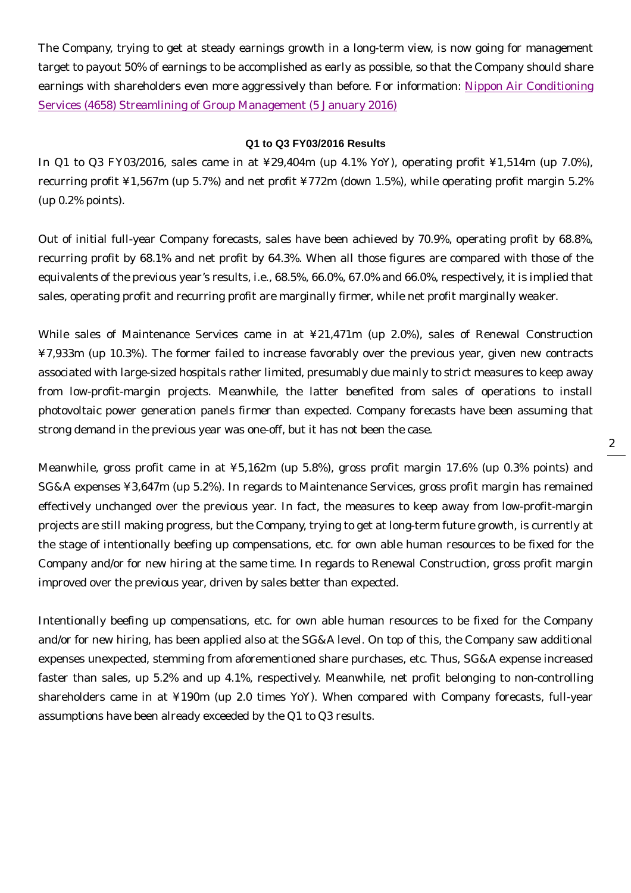The Company, trying to get at steady earnings growth in a long-term view, is now going for management target to payout 50% of earnings to be accomplished as early as possible, so that the Company should share earnings with shareholders even more aggressively than before. For information: [Nippon Air Conditioning](http://walden.co.jp/pdf/4658_nacs_2016_03_q2_report_2016_01_05_english.pdf) [Services \(4658\) Streamlining of Group Management \(5 January 2016\)](http://walden.co.jp/pdf/4658_nacs_2016_03_q2_report_2016_01_05_english.pdf)

#### **Q1 to Q3 FY03/2016 Results**

In Q1 to Q3 FY03/2016, sales came in at ¥29,404m (up 4.1% YoY), operating profit ¥1,514m (up 7.0%), recurring profit ¥1,567m (up 5.7%) and net profit ¥772m (down 1.5%), while operating profit margin 5.2% (up 0.2% points).

Out of initial full-year Company forecasts, sales have been achieved by 70.9%, operating profit by 68.8%, recurring profit by 68.1% and net profit by 64.3%. When all those figures are compared with those of the equivalents of the previous year's results, i.e., 68.5%, 66.0%, 67.0% and 66.0%, respectively, it is implied that sales, operating profit and recurring profit are marginally firmer, while net profit marginally weaker.

While sales of Maintenance Services came in at ¥21,471m (up 2.0%), sales of Renewal Construction ¥7,933m (up 10.3%). The former failed to increase favorably over the previous year, given new contracts associated with large-sized hospitals rather limited, presumably due mainly to strict measures to keep away from low-profit-margin projects. Meanwhile, the latter benefited from sales of operations to install photovoltaic power generation panels firmer than expected. Company forecasts have been assuming that strong demand in the previous year was one-off, but it has not been the case.

Meanwhile, gross profit came in at ¥5,162m (up 5.8%), gross profit margin 17.6% (up 0.3% points) and SG&A expenses ¥3,647m (up 5.2%). In regards to Maintenance Services, gross profit margin has remained effectively unchanged over the previous year. In fact, the measures to keep away from low-profit-margin projects are still making progress, but the Company, trying to get at long-term future growth, is currently at the stage of intentionally beefing up compensations, etc. for own able human resources to be fixed for the Company and/or for new hiring at the same time. In regards to Renewal Construction, gross profit margin improved over the previous year, driven by sales better than expected.

Intentionally beefing up compensations, etc. for own able human resources to be fixed for the Company and/or for new hiring, has been applied also at the SG&A level. On top of this, the Company saw additional expenses unexpected, stemming from aforementioned share purchases, etc. Thus, SG&A expense increased faster than sales, up 5.2% and up 4.1%, respectively. Meanwhile, net profit belonging to non-controlling shareholders came in at ¥190m (up 2.0 times YoY). When compared with Company forecasts, full-year assumptions have been already exceeded by the Q1 to Q3 results.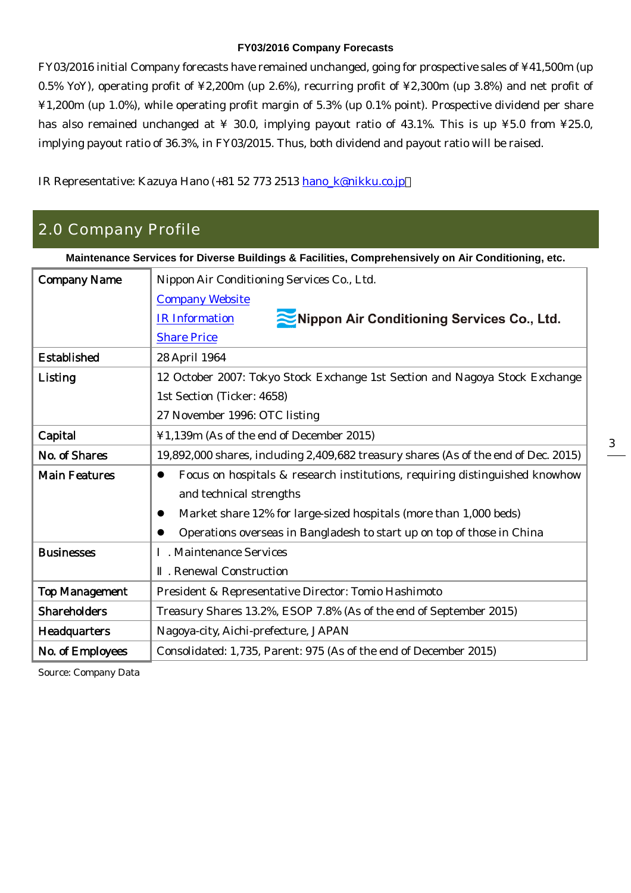### **FY03/2016 Company Forecasts**

FY03/2016 initial Company forecasts have remained unchanged, going for prospective sales of ¥41,500m (up 0.5% YoY), operating profit of ¥2,200m (up 2.6%), recurring profit of ¥2,300m (up 3.8%) and net profit of ¥1,200m (up 1.0%), while operating profit margin of 5.3% (up 0.1% point). Prospective dividend per share has also remained unchanged at  $\frac{1}{4}$  30.0, implying payout ratio of 43.1%. This is up  $\frac{1}{4}$  5.0 from  $\frac{1}{4}$  25.0, implying payout ratio of 36.3%, in FY03/2015. Thus, both dividend and payout ratio will be raised.

IR Representative: Kazuya Hano (+81 52 773 2513 [hano\\_k@nikku.co.jp](mailto:hano_k@nikku.co.jp)

## 2.0 Company Profile

| Maintenance Services for Diverse Buildings & Facilities, Comprehensively on Air Conditioning, etc. |                                                                                          |  |  |  |  |  |
|----------------------------------------------------------------------------------------------------|------------------------------------------------------------------------------------------|--|--|--|--|--|
| <b>Company Name</b>                                                                                | Nippon Air Conditioning Services Co., Ltd.                                               |  |  |  |  |  |
|                                                                                                    | <b>Company Website</b>                                                                   |  |  |  |  |  |
|                                                                                                    | Nippon Air Conditioning Services Co., Ltd.<br><b>IR</b> Information                      |  |  |  |  |  |
|                                                                                                    | <b>Share Price</b>                                                                       |  |  |  |  |  |
| <b>Established</b>                                                                                 | 28 April 1964                                                                            |  |  |  |  |  |
| Listing                                                                                            | 12 October 2007: Tokyo Stock Exchange 1st Section and Nagoya Stock Exchange              |  |  |  |  |  |
|                                                                                                    | 1st Section (Ticker: 4658)                                                               |  |  |  |  |  |
|                                                                                                    | 27 November 1996: OTC listing                                                            |  |  |  |  |  |
| Capital                                                                                            | ¥1,139m (As of the end of December 2015)                                                 |  |  |  |  |  |
| No. of Shares                                                                                      | 19,892,000 shares, including 2,409,682 treasury shares (As of the end of Dec. 2015)      |  |  |  |  |  |
| <b>Main Features</b>                                                                               | Focus on hospitals & research institutions, requiring distinguished knowhow<br>$\bullet$ |  |  |  |  |  |
|                                                                                                    | and technical strengths                                                                  |  |  |  |  |  |
|                                                                                                    | Market share 12% for large-sized hospitals (more than 1,000 beds)<br>●                   |  |  |  |  |  |
|                                                                                                    | Operations overseas in Bangladesh to start up on top of those in China                   |  |  |  |  |  |
| <b>Businesses</b>                                                                                  | . Maintenance Services                                                                   |  |  |  |  |  |
|                                                                                                    | . Renewal Construction                                                                   |  |  |  |  |  |
| <b>Top Management</b>                                                                              | President & Representative Director: Tomio Hashimoto                                     |  |  |  |  |  |
| <b>Shareholders</b>                                                                                | Treasury Shares 13.2%, ESOP 7.8% (As of the end of September 2015)                       |  |  |  |  |  |
| <b>Headquarters</b>                                                                                | Nagoya-city, Aichi-prefecture, JAPAN                                                     |  |  |  |  |  |
| No. of Employees                                                                                   | Consolidated: 1,735, Parent: 975 (As of the end of December 2015)                        |  |  |  |  |  |

Source: Company Data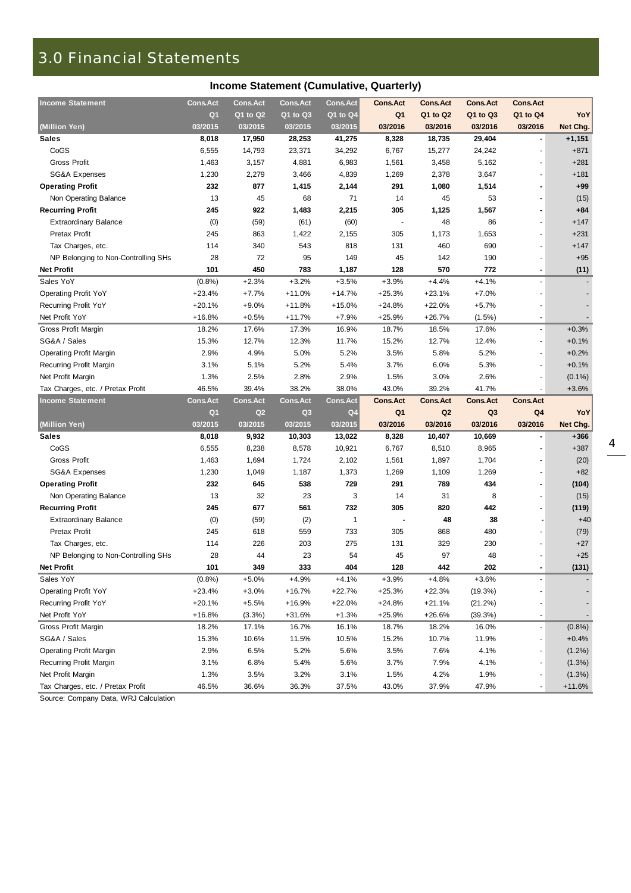## 3.0 Financial Statements

| <b>Income Statement</b>             | <b>Cons.Act</b> | <b>Cons.Act</b> | <b>Cons.Act</b> | <b>Cons.Act</b> | <b>Cons.Act</b> | <b>Cons.Act</b> | <b>Cons.Act</b> | <b>Cons.Act</b>          |           |
|-------------------------------------|-----------------|-----------------|-----------------|-----------------|-----------------|-----------------|-----------------|--------------------------|-----------|
|                                     | Q <sub>1</sub>  | Q1 to Q2        | Q1 to Q3        | Q1 to Q4        | Q <sub>1</sub>  | Q1 to Q2        | Q1 to Q3        | Q1 to Q4                 | YoY       |
| (Million Yen)                       | 03/2015         | 03/2015         | 03/2015         | 03/2015         | 03/2016         | 03/2016         | 03/2016         | 03/2016                  | Net Chg.  |
| <b>Sales</b>                        | 8,018           | 17,950          | 28,253          | 41,275          | 8,328           | 18,735          | 29,404          | $\blacksquare$           | $+1,151$  |
| CoGS                                | 6,555           | 14,793          | 23,371          | 34,292          | 6,767           | 15,277          | 24,242          |                          | $+871$    |
| <b>Gross Profit</b>                 | 1,463           | 3,157           | 4,881           | 6,983           | 1,561           | 3,458           | 5,162           |                          | $+281$    |
| <b>SG&amp;A Expenses</b>            | 1,230           | 2,279           | 3,466           | 4,839           | 1,269           | 2,378           | 3,647           |                          | $+181$    |
| <b>Operating Profit</b>             | 232             | 877             | 1,415           | 2,144           | 291             | 1,080           | 1,514           | $\blacksquare$           | $+99$     |
| Non Operating Balance               | 13              | 45              | 68              | 71              | 14              | 45              | 53              |                          | (15)      |
| <b>Recurring Profit</b>             | 245             | 922             | 1,483           | 2,215           | 305             | 1,125           | 1,567           |                          | $+84$     |
| <b>Extraordinary Balance</b>        | (0)             | (59)            | (61)            | (60)            |                 | 48              | 86              |                          | $+147$    |
| Pretax Profit                       | 245             | 863             | 1,422           | 2,155           | 305             | 1,173           | 1,653           |                          | $+231$    |
| Tax Charges, etc.                   | 114             | 340             | 543             | 818             | 131             | 460             | 690             |                          | $+147$    |
| NP Belonging to Non-Controlling SHs | 28              | 72              | 95              | 149             | 45              | 142             | 190             |                          | $+95$     |
| <b>Net Profit</b>                   | 101             | 450             | 783             | 1,187           | 128             | 570             | 772             | $\blacksquare$           | (11)      |
| Sales YoY                           | (0.8%)          | $+2.3%$         | $+3.2%$         | $+3.5%$         | $+3.9%$         | $+4.4%$         | $+4.1%$         | $\overline{\phantom{a}}$ |           |
| <b>Operating Profit YoY</b>         | $+23.4%$        | $+7.7%$         | $+11.0%$        | $+14.7%$        | $+25.3%$        | $+23.1%$        | $+7.0%$         |                          |           |
| Recurring Profit YoY                | $+20.1%$        | $+9.0%$         | $+11.8%$        | $+15.0%$        | $+24.8%$        | $+22.0%$        | $+5.7%$         |                          |           |
| Net Profit YoY                      | $+16.8%$        | $+0.5%$         | $+11.7%$        | $+7.9%$         | $+25.9%$        | $+26.7%$        | $(1.5\%)$       | $\blacksquare$           |           |
| Gross Profit Margin                 | 18.2%           | 17.6%           | 17.3%           | 16.9%           | 18.7%           | 18.5%           | 17.6%           | $\blacksquare$           | $+0.3%$   |
| SG&A / Sales                        | 15.3%           | 12.7%           | 12.3%           | 11.7%           | 15.2%           | 12.7%           | 12.4%           | $\blacksquare$           | $+0.1%$   |
| <b>Operating Profit Margin</b>      | 2.9%            | 4.9%            | 5.0%            | 5.2%            | 3.5%            | 5.8%            | 5.2%            |                          | $+0.2%$   |
| Recurring Profit Margin             | 3.1%            | 5.1%            | 5.2%            | 5.4%            | 3.7%            | 6.0%            | 5.3%            | $\blacksquare$           | $+0.1%$   |
| Net Profit Margin                   | 1.3%            | 2.5%            | 2.8%            | 2.9%            | 1.5%            | 3.0%            | 2.6%            |                          | $(0.1\%)$ |
| Tax Charges, etc. / Pretax Profit   | 46.5%           | 39.4%           | 38.2%           | 38.0%           | 43.0%           | 39.2%           | 41.7%           |                          | $+3.6%$   |
|                                     |                 |                 |                 |                 |                 |                 |                 |                          |           |
| <b>Income Statement</b>             | <b>Cons.Act</b> | <b>Cons.Act</b> | <b>Cons.Act</b> | <b>Cons.Act</b> | <b>Cons.Act</b> | <b>Cons.Act</b> | <b>Cons.Act</b> | <b>Cons.Act</b>          |           |
|                                     | Q <sub>1</sub>  | Q2              | Q <sub>3</sub>  | Q <sub>4</sub>  | Q <sub>1</sub>  | Q2              | Q <sub>3</sub>  | Q4                       | YoY       |
| (Million Yen)                       | 03/2015         | 03/2015         | 03/2015         | 03/2015         | 03/2016         | 03/2016         | 03/2016         | 03/2016                  | Net Chg.  |
| <b>Sales</b>                        | 8,018           | 9,932           | 10,303          | 13,022          | 8,328           | 10,407          | 10,669          | $\blacksquare$           | $+366$    |
| CoGS                                | 6,555           | 8,238           | 8,578           | 10,921          | 6,767           | 8,510           | 8,965           | $\blacksquare$           | $+387$    |
| <b>Gross Profit</b>                 | 1,463           | 1,694           | 1,724           | 2,102           | 1,561           | 1,897           | 1,704           | $\blacksquare$           | (20)      |
| <b>SG&amp;A Expenses</b>            | 1,230           | 1,049           | 1,187           | 1,373           | 1,269           | 1,109           | 1,269           |                          | $+82$     |
| <b>Operating Profit</b>             | 232             | 645             | 538             | 729             | 291             | 789             | 434             |                          | (104)     |
| Non Operating Balance               | 13              | 32              | 23              | 3               | 14              | 31              | 8               |                          | (15)      |
| <b>Recurring Profit</b>             | 245             | 677             | 561             | 732             | 305             | 820             | 442             |                          | (119)     |
| <b>Extraordinary Balance</b>        | (0)             | (59)            | (2)             | $\mathbf{1}$    |                 | 48              | 38              |                          | $+40$     |
| Pretax Profit                       | 245             | 618             | 559             | 733             | 305             | 868             | 480             |                          | (79)      |
| Tax Charges, etc.                   | 114             | 226             | 203             | 275             | 131             | 329             | 230             |                          | $+27$     |
| NP Belonging to Non-Controlling SHs | 28              | 44              | 23              | 54              | 45              | 97              | 48              |                          | $+25$     |
| <b>Net Profit</b>                   | 101             | 349             | 333             | 404             | 128             | 442             | 202             |                          | (131)     |
| Sales YoY                           | (0.8%           | $+5.0%$         | $+4.9%$         | $+4.1%$         | $+3.9%$         | $+4.8%$         | $+3.6%$         |                          |           |
| <b>Operating Profit YoY</b>         | $+23.4%$        | $+3.0%$         | $+16.7%$        | +22.7%          | +25.3%          | $+22.3%$        | (19.3%)         |                          |           |
| <b>Recurring Profit YoY</b>         | $+20.1%$        | $+5.5%$         | +16.9%          | $+22.0%$        | $+24.8%$        | $+21.1%$        | (21.2%)         |                          |           |
| Net Profit YoY                      | +16.8%          | (3.3%)          | $+31.6%$        | $+1.3%$         | $+25.9%$        | $+26.6%$        | (39.3%)         |                          |           |
| Gross Profit Margin                 | 18.2%           | 17.1%           | 16.7%           | 16.1%           | 18.7%           | 18.2%           | 16.0%           | $\overline{\phantom{a}}$ | (0.8%)    |
| SG&A / Sales                        | 15.3%           | 10.6%           | 11.5%           | 10.5%           | 15.2%           | 10.7%           | 11.9%           | $\overline{\phantom{a}}$ | $+0.4%$   |
| <b>Operating Profit Margin</b>      | 2.9%            | 6.5%            | 5.2%            | 5.6%            | 3.5%            | 7.6%            | 4.1%            | $\overline{\phantom{a}}$ | $(1.2\%)$ |
| Recurring Profit Margin             | 3.1%            | 6.8%            | 5.4%            | 5.6%            | 3.7%            | 7.9%            | 4.1%            |                          | (1.3%)    |
| Net Profit Margin                   | 1.3%            | 3.5%            | 3.2%            | 3.1%            | 1.5%            | 4.2%            | 1.9%            |                          | $(1.3\%)$ |

Source: Company Data, WRJ Calculation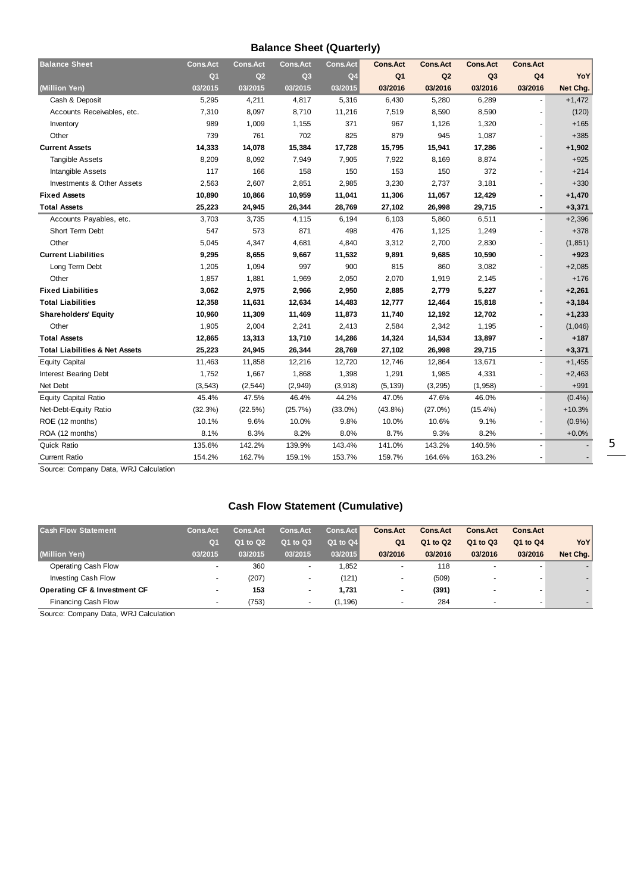## **Balance Sheet (Quarterly)**

| <b>Balance Sheet</b>                      | <b>Cons.Act</b> | <b>Cons.Act</b> | <b>Cons.Act</b> | <b>Cons.Act</b> | <b>Cons.Act</b> | <b>Cons.Act</b> | <b>Cons.Act</b> | <b>Cons.Act</b>          |          |
|-------------------------------------------|-----------------|-----------------|-----------------|-----------------|-----------------|-----------------|-----------------|--------------------------|----------|
|                                           | Q <sub>1</sub>  | Q2              | Q <sub>3</sub>  | Q <sub>4</sub>  | Q <sub>1</sub>  | Q2              | Q <sub>3</sub>  | Q4                       | YoY      |
| (Million Yen)                             | 03/2015         | 03/2015         | 03/2015         | 03/2015         | 03/2016         | 03/2016         | 03/2016         | 03/2016                  | Net Chg. |
| Cash & Deposit                            | 5,295           | 4,211           | 4,817           | 5,316           | 6,430           | 5,280           | 6,289           |                          | $+1,472$ |
| Accounts Receivables, etc.                | 7,310           | 8,097           | 8,710           | 11,216          | 7,519           | 8,590           | 8,590           | $\blacksquare$           | (120)    |
| Inventory                                 | 989             | 1,009           | 1,155           | 371             | 967             | 1,126           | 1,320           |                          | $+165$   |
| Other                                     | 739             | 761             | 702             | 825             | 879             | 945             | 1,087           | $\blacksquare$           | $+385$   |
| <b>Current Assets</b>                     | 14,333          | 14,078          | 15,384          | 17,728          | 15,795          | 15,941          | 17,286          |                          | $+1,902$ |
| <b>Tangible Assets</b>                    | 8,209           | 8,092           | 7,949           | 7,905           | 7,922           | 8,169           | 8,874           |                          | $+925$   |
| Intangible Assets                         | 117             | 166             | 158             | 150             | 153             | 150             | 372             |                          | $+214$   |
| <b>Investments &amp; Other Assets</b>     | 2,563           | 2,607           | 2,851           | 2,985           | 3,230           | 2,737           | 3,181           |                          | $+330$   |
| <b>Fixed Assets</b>                       | 10,890          | 10,866          | 10,959          | 11,041          | 11,306          | 11,057          | 12,429          | $\blacksquare$           | $+1,470$ |
| <b>Total Assets</b>                       | 25,223          | 24,945          | 26,344          | 28,769          | 27,102          | 26,998          | 29,715          | $\blacksquare$           | $+3,371$ |
| Accounts Payables, etc.                   | 3,703           | 3,735           | 4,115           | 6,194           | 6,103           | 5,860           | 6,511           | $\blacksquare$           | $+2,396$ |
| Short Term Debt                           | 547             | 573             | 871             | 498             | 476             | 1,125           | 1,249           |                          | $+378$   |
| Other                                     | 5,045           | 4,347           | 4,681           | 4,840           | 3,312           | 2,700           | 2,830           |                          | (1, 851) |
| <b>Current Liabilities</b>                | 9,295           | 8,655           | 9,667           | 11,532          | 9,891           | 9,685           | 10,590          |                          | $+923$   |
| Long Term Debt                            | 1,205           | 1,094           | 997             | 900             | 815             | 860             | 3,082           |                          | $+2,085$ |
| Other                                     | 1,857           | 1,881           | 1,969           | 2,050           | 2,070           | 1,919           | 2,145           |                          | $+176$   |
| <b>Fixed Liabilities</b>                  | 3,062           | 2,975           | 2,966           | 2,950           | 2,885           | 2,779           | 5,227           |                          | $+2,261$ |
| <b>Total Liabilities</b>                  | 12,358          | 11,631          | 12,634          | 14,483          | 12,777          | 12,464          | 15,818          | $\overline{\phantom{a}}$ | $+3,184$ |
| <b>Shareholders' Equity</b>               | 10,960          | 11,309          | 11,469          | 11,873          | 11,740          | 12,192          | 12,702          |                          | $+1,233$ |
| Other                                     | 1,905           | 2,004           | 2,241           | 2,413           | 2,584           | 2,342           | 1,195           |                          | (1,046)  |
| <b>Total Assets</b>                       | 12,865          | 13,313          | 13,710          | 14,286          | 14,324          | 14,534          | 13,897          |                          | $+187$   |
| <b>Total Liabilities &amp; Net Assets</b> | 25,223          | 24,945          | 26,344          | 28,769          | 27,102          | 26,998          | 29,715          | $\blacksquare$           | $+3,371$ |
| <b>Equity Capital</b>                     | 11,463          | 11,858          | 12,216          | 12,720          | 12,746          | 12,864          | 13,671          | $\overline{\phantom{a}}$ | $+1,455$ |
| <b>Interest Bearing Debt</b>              | 1,752           | 1,667           | 1,868           | 1,398           | 1,291           | 1,985           | 4,331           |                          | $+2,463$ |
| Net Debt                                  | (3, 543)        | (2, 544)        | (2,949)         | (3,918)         | (5, 139)        | (3, 295)        | (1,958)         | $\blacksquare$           | $+991$   |
| Equity Capital Ratio                      | 45.4%           | 47.5%           | 46.4%           | 44.2%           | 47.0%           | 47.6%           | 46.0%           | $\blacksquare$           | (0.4% )  |
| Net-Debt-Equity Ratio                     | (32.3%)         | (22.5%)         | (25.7%)         | $(33.0\%)$      | $(43.8\%)$      | $(27.0\%)$      | $(15.4\%)$      |                          | $+10.3%$ |
| ROE (12 months)                           | 10.1%           | 9.6%            | 10.0%           | 9.8%            | 10.0%           | 10.6%           | 9.1%            |                          | (0.9%    |
| ROA (12 months)                           | 8.1%            | 8.3%            | 8.2%            | 8.0%            | 8.7%            | 9.3%            | 8.2%            | $\overline{\phantom{a}}$ | $+0.0%$  |
| <b>Quick Ratio</b>                        | 135.6%          | 142.2%          | 139.9%          | 143.4%          | 141.0%          | 143.2%          | 140.5%          | $\blacksquare$           |          |
| <b>Current Ratio</b>                      | 154.2%          | 162.7%          | 159.1%          | 153.7%          | 159.7%          | 164.6%          | 163.2%          |                          |          |

Source: Company Data, WRJ Calculation

## **Cash Flow Statement (Cumulative)**

| <b>Cash Flow Statement</b>   | <b>Cons.Act</b>          | <b>Cons.Act</b> | <b>Cons.Act</b> | <b>Cons.Act</b> | <b>Cons.Act</b> | <b>Cons.Act</b> | <b>Cons.Act</b>          | <b>Cons.Act</b>          |          |
|------------------------------|--------------------------|-----------------|-----------------|-----------------|-----------------|-----------------|--------------------------|--------------------------|----------|
|                              | Q <sub>1</sub>           | Q1 to Q2        | Q1 to Q3        | Q1 to Q4        | Q <sub>1</sub>  | Q1 to Q2        | Q1 to Q3                 | Q1 to Q4                 | YoY      |
| (Million Yen)                | 03/2015                  | 03/2015         | 03/2015         | 03/2015         | 03/2016         | 03/2016         | 03/2016                  | 03/2016                  | Net Chg. |
| Operating Cash Flow          | $\overline{\phantom{0}}$ | 360             | $\sim$          | 1,852           |                 | 118             | $\overline{\phantom{a}}$ | $\overline{\phantom{0}}$ |          |
| Investing Cash Flow          | $\overline{\phantom{0}}$ | (207)           | $\overline{a}$  | (121)           |                 | (509)           |                          | $\overline{\phantom{0}}$ |          |
| Operating CF & Investment CF |                          | 153             | $\sim$          | 1.731           | ۰               | (391)           |                          |                          |          |
| Financing Cash Flow          | $\overline{\phantom{a}}$ | (753)           |                 | (1, 196)        | -               | 284             |                          | $\overline{\phantom{0}}$ |          |

Source: Company Data, WRJ Calculation